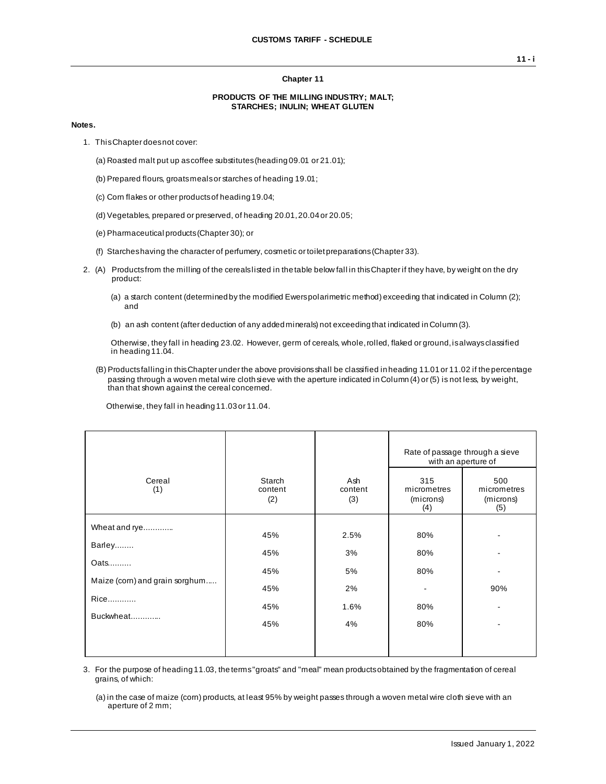### **Chapter 11**

#### **PRODUCTS OF THE MILLING INDUSTRY; MALT; STARCHES; INULIN; WHEAT GLUTEN**

#### **Notes.**

- 1. This Chapter does not cover:
	- (a) Roasted malt put up as coffee substitutes (heading 09.01 or 21.01);
	- (b) Prepared flours, groats meals or starches of heading 19.01;
	- (c) Corn flakes or other products of heading 19.04;
	- (d) Vegetables, prepared or preserved, of heading 20.01, 20.04 or 20.05;
	- (e) Pharmaceutical products (Chapter 30); or
	- (f) Starches having the character of perfumery, cosmetic or toilet preparations (Chapter 33).
- 2. (A) Products from the milling of the cereals listed in the table below fall in this Chapter if they have, by weight on the dry product:
	- (a) a starch content (determined by the modified Ewers polarimetric method) exceeding that indicated in Column (2); and
	- (b) an ash content (after deduction of any added minerals) not exceeding that indicated in Column (3).

Otherwise, they fall in heading 23.02. However, germ of cereals, whole, rolled, flaked or ground, is always classified in heading 11.04.

(B) Products falling in this Chapter under the above provisions shall be classified in heading 11.01 or 11.02 if the percentage passing through a woven metal wire cloth sieve with the aperture indicated in Column (4) or (5) is not less, by weight, than that shown against the cereal concerned.

Otherwise, they fall in heading 11.03 or 11.04.

|                                        |                                 |                       |                                        | Rate of passage through a sieve<br>with an aperture of |
|----------------------------------------|---------------------------------|-----------------------|----------------------------------------|--------------------------------------------------------|
| Cereal<br>(1)                          | <b>Starch</b><br>content<br>(2) | Ash<br>content<br>(3) | 315<br>micrometres<br>(microns)<br>(4) | 500<br>micrometres<br>(microns)<br>(5)                 |
| Wheat and rye<br>Barley                | 45%<br>45%                      | 2.5%<br>3%            | 80%<br>80%                             |                                                        |
| Oats<br>Maize (corn) and grain sorghum | 45%<br>45%                      | 5%<br>2%              | 80%                                    | 90%                                                    |
| Rice<br>Buckwheat                      | 45%                             | 1.6%                  | 80%                                    | ۰                                                      |
|                                        | 45%                             | 4%                    | 80%                                    |                                                        |

3. For the purpose of heading 11.03, the terms "groats" and "meal" mean products obtained by the fragmentation of cereal grains, of which:

(a) in the case of maize (corn) products, at least 95% by weight passes through a woven metal wire cloth sieve with an aperture of 2 mm;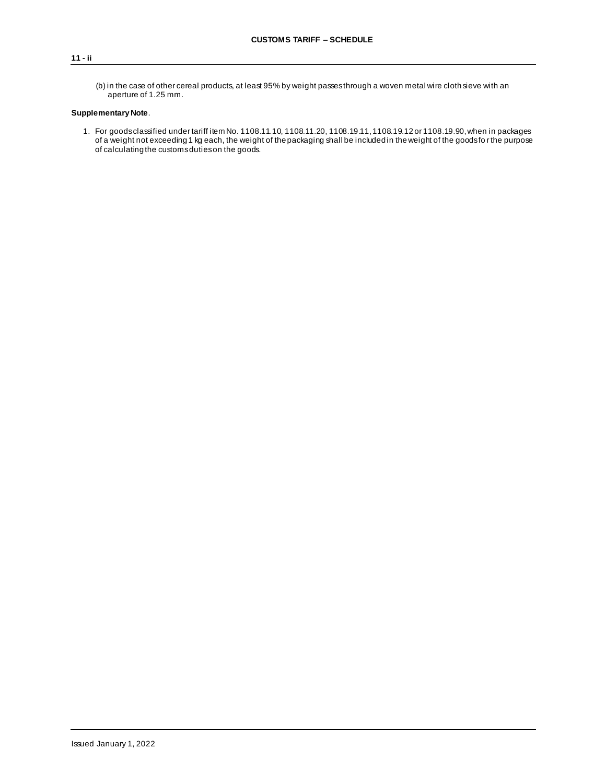(b) in the case of other cereal products, at least 95% by weight passes through a woven metal wire cloth sieve with an aperture of 1.25 mm.

## **Supplementary Note**.

1. For goods classified under tariff item No. 1108.11.10, 1108.11.20, 1108.19.11, 1108.19.12 or 1108.19.90, when in packages of a weight not exceeding 1 kg each, the weight of the packaging shall be included in the weight of the goods fo r the purpose of calculating the customs duties on the goods.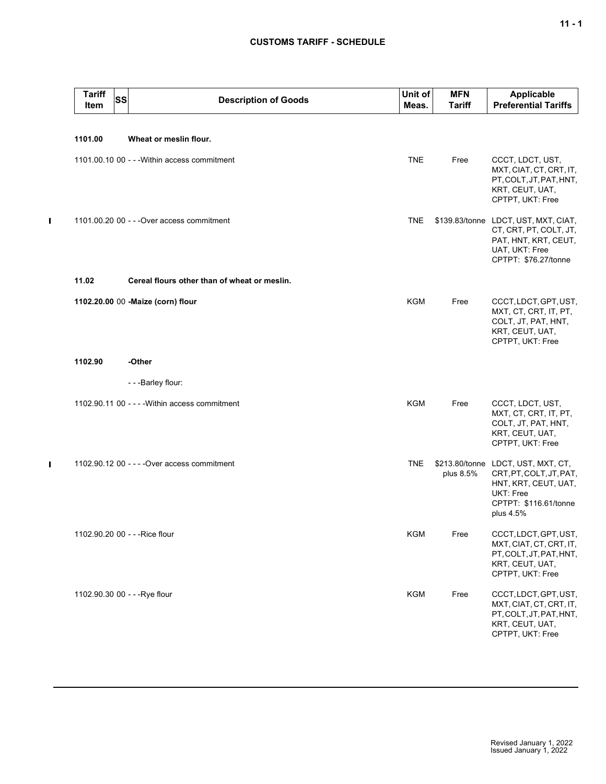## **CUSTOMS TARIFF - SCHEDULE**

| <b>Tariff</b><br>Item | <b>SS</b><br><b>Description of Goods</b>       | Unit of<br>Meas. | <b>MFN</b><br>Tariff | Applicable<br><b>Preferential Tariffs</b>                                                                                                |
|-----------------------|------------------------------------------------|------------------|----------------------|------------------------------------------------------------------------------------------------------------------------------------------|
| 1101.00               | Wheat or meslin flour.                         |                  |                      |                                                                                                                                          |
|                       | 1101.00.10 00 - - - Within access commitment   | <b>TNE</b>       | Free                 | CCCT, LDCT, UST,<br>MXT, CIAT, CT, CRT, IT,<br>PT, COLT, JT, PAT, HNT,<br>KRT, CEUT, UAT,<br>CPTPT, UKT: Free                            |
|                       | 1101.00.20 00 - - - Over access commitment     | <b>TNE</b>       |                      | \$139.83/tonne LDCT, UST, MXT, CIAT,<br>CT, CRT, PT, COLT, JT,<br>PAT, HNT, KRT, CEUT,<br>UAT, UKT: Free<br>CPTPT: \$76.27/tonne         |
| 11.02                 | Cereal flours other than of wheat or meslin.   |                  |                      |                                                                                                                                          |
|                       | 1102.20.00 00 -Maize (corn) flour              | <b>KGM</b>       | Free                 | CCCT, LDCT, GPT, UST,<br>MXT, CT, CRT, IT, PT,<br>COLT, JT, PAT, HNT,<br>KRT, CEUT, UAT,<br>CPTPT, UKT: Free                             |
| 1102.90               | -Other                                         |                  |                      |                                                                                                                                          |
|                       | - - - Barley flour:                            |                  |                      |                                                                                                                                          |
|                       | 1102.90.11 00 - - - - Within access commitment | <b>KGM</b>       | Free                 | CCCT, LDCT, UST,<br>MXT, CT, CRT, IT, PT,<br>COLT, JT, PAT, HNT,<br>KRT, CEUT, UAT,<br>CPTPT, UKT: Free                                  |
|                       | 1102.90.12 00 - - - - Over access commitment   | <b>TNE</b>       | plus 8.5%            | \$213.80/tonne LDCT, UST, MXT, CT,<br>CRT, PT, COLT, JT, PAT,<br>HNT, KRT, CEUT, UAT,<br>UKT: Free<br>CPTPT: \$116.61/tonne<br>plus 4.5% |
|                       | 1102.90.20 00 - - - Rice flour                 | KGM              | Free                 | CCCT, LDCT, GPT, UST,<br>MXT, CIAT, CT, CRT, IT,<br>PT, COLT, JT, PAT, HNT,<br>KRT, CEUT, UAT,<br>CPTPT, UKT: Free                       |
|                       | 1102.90.30 00 - - - Rye flour                  | KGM              | Free                 | CCCT, LDCT, GPT, UST,<br>MXT, CIAT, CT, CRT, IT,<br>PT, COLT, JT, PAT, HNT,<br>KRT, CEUT, UAT,<br>CPTPT, UKT: Free                       |

 $\blacksquare$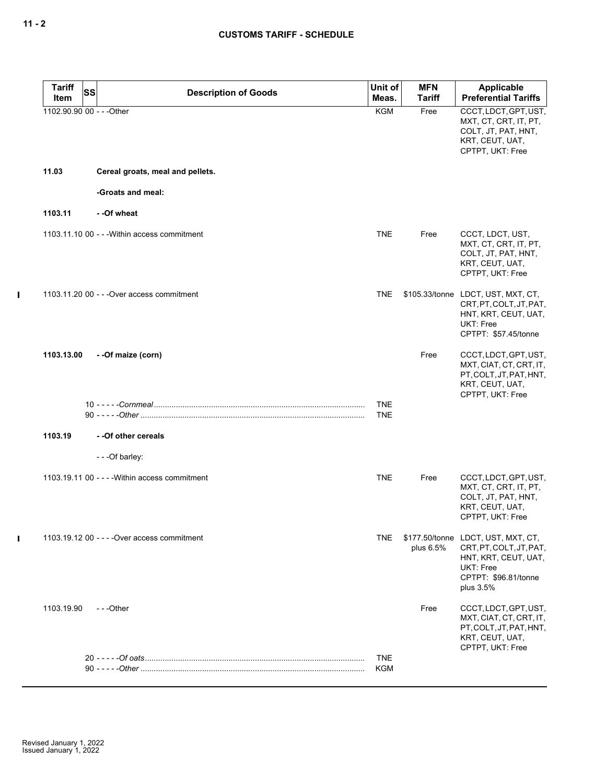| <b>Tariff</b><br>Item     | <b>SS</b> | <b>Description of Goods</b>                    | Unit of<br>Meas.         | <b>MFN</b><br><b>Tariff</b> | <b>Applicable</b><br><b>Preferential Tariffs</b>                                                                                        |
|---------------------------|-----------|------------------------------------------------|--------------------------|-----------------------------|-----------------------------------------------------------------------------------------------------------------------------------------|
| 1102.90.90 00 - - - Other |           |                                                | <b>KGM</b>               | Free                        | CCCT, LDCT, GPT, UST,<br>MXT, CT, CRT, IT, PT,<br>COLT, JT, PAT, HNT,<br>KRT, CEUT, UAT,<br>CPTPT, UKT: Free                            |
| 11.03                     |           | Cereal groats, meal and pellets.               |                          |                             |                                                                                                                                         |
|                           |           | -Groats and meal:                              |                          |                             |                                                                                                                                         |
| 1103.11                   |           | --Of wheat                                     |                          |                             |                                                                                                                                         |
|                           |           | 1103.11.10 00 - - - Within access commitment   | <b>TNE</b>               | Free                        | CCCT, LDCT, UST,<br>MXT, CT, CRT, IT, PT,<br>COLT, JT, PAT, HNT,<br>KRT, CEUT, UAT,<br>CPTPT, UKT: Free                                 |
|                           |           | 1103.11.20 00 - - - Over access commitment     | <b>TNE</b>               |                             | \$105.33/tonne LDCT, UST, MXT, CT,<br>CRT.PT.COLT.JT.PAT.<br>HNT, KRT, CEUT, UAT,<br>UKT: Free<br>CPTPT: \$57.45/tonne                  |
| 1103.13.00                |           | --Of maize (corn)                              |                          | Free                        | CCCT, LDCT, GPT, UST,<br>MXT, CIAT, CT, CRT, IT,<br>PT, COLT, JT, PAT, HNT,<br>KRT, CEUT, UAT,<br>CPTPT, UKT: Free                      |
|                           |           |                                                | <b>TNE</b><br><b>TNE</b> |                             |                                                                                                                                         |
| 1103.19                   |           | - - Of other cereals                           |                          |                             |                                                                                                                                         |
|                           |           | - - - Of barley:                               |                          |                             |                                                                                                                                         |
|                           |           | 1103.19.11 00 - - - - Within access commitment | <b>TNE</b>               | Free                        | CCCT, LDCT, GPT, UST,<br>MXT, CT, CRT, IT, PT,<br>COLT, JT, PAT, HNT,<br>KRT, CEUT, UAT,<br>CPTPT, UKT: Free                            |
|                           |           | 1103.19.12 00 - - - - Over access commitment   | TNE                      | plus 6.5%                   | \$177.50/tonne LDCT, UST, MXT, CT,<br>CRT, PT, COLT, JT, PAT,<br>HNT, KRT, CEUT, UAT,<br>UKT: Free<br>CPTPT: \$96.81/tonne<br>plus 3.5% |
| 1103.19.90                |           | ---Other                                       |                          | Free                        | CCCT, LDCT, GPT, UST,<br>MXT, CIAT, CT, CRT, IT,<br>PT, COLT, JT, PAT, HNT,<br>KRT, CEUT, UAT,<br>CPTPT, UKT: Free                      |
|                           |           |                                                | <b>TNE</b>               |                             |                                                                                                                                         |
|                           |           |                                                | <b>KGM</b>               |                             |                                                                                                                                         |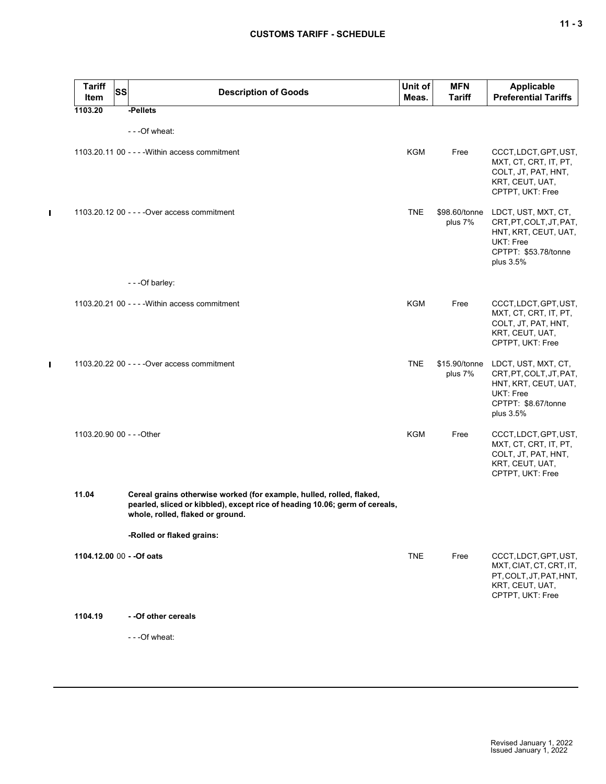| <b>Tariff</b><br>Item     | <b>SS</b> | <b>Description of Goods</b>                                                                                                                                                             | Unit of<br>Meas. | <b>MFN</b><br><b>Tariff</b> | <b>Applicable</b><br><b>Preferential Tariffs</b>                                                                         |
|---------------------------|-----------|-----------------------------------------------------------------------------------------------------------------------------------------------------------------------------------------|------------------|-----------------------------|--------------------------------------------------------------------------------------------------------------------------|
| 1103.20                   |           | -Pellets                                                                                                                                                                                |                  |                             |                                                                                                                          |
|                           |           | - - - Of wheat:                                                                                                                                                                         |                  |                             |                                                                                                                          |
|                           |           | 1103.20.11 00 - - - - Within access commitment                                                                                                                                          | <b>KGM</b>       | Free                        | CCCT, LDCT, GPT, UST,<br>MXT, CT, CRT, IT, PT,<br>COLT, JT, PAT, HNT,<br>KRT, CEUT, UAT,<br>CPTPT, UKT: Free             |
|                           |           | 1103.20.12 00 - - - - Over access commitment                                                                                                                                            | <b>TNE</b>       | \$98.60/tonne<br>plus 7%    | LDCT, UST, MXT, CT,<br>CRT, PT, COLT, JT, PAT,<br>HNT, KRT, CEUT, UAT,<br>UKT: Free<br>CPTPT: \$53.78/tonne<br>plus 3.5% |
|                           |           | - - - Of barley:                                                                                                                                                                        |                  |                             |                                                                                                                          |
|                           |           | 1103.20.21 00 - - - - Within access commitment                                                                                                                                          | <b>KGM</b>       | Free                        | CCCT, LDCT, GPT, UST,<br>MXT, CT, CRT, IT, PT,<br>COLT, JT, PAT, HNT,<br>KRT, CEUT, UAT,<br>CPTPT, UKT: Free             |
|                           |           | 1103.20.22 00 - - - - Over access commitment                                                                                                                                            | <b>TNE</b>       | \$15.90/tonne<br>plus 7%    | LDCT, UST, MXT, CT,<br>CRT, PT, COLT, JT, PAT,<br>HNT, KRT, CEUT, UAT,<br>UKT: Free<br>CPTPT: \$8.67/tonne<br>plus 3.5%  |
| 1103.20.90 00 - - - Other |           |                                                                                                                                                                                         | <b>KGM</b>       | Free                        | CCCT, LDCT, GPT, UST,<br>MXT, CT, CRT, IT, PT,<br>COLT, JT, PAT, HNT,<br>KRT, CEUT, UAT,<br>CPTPT, UKT: Free             |
| 11.04                     |           | Cereal grains otherwise worked (for example, hulled, rolled, flaked,<br>pearled, sliced or kibbled), except rice of heading 10.06; germ of cereals,<br>whole, rolled, flaked or ground. |                  |                             |                                                                                                                          |
|                           |           | -Rolled or flaked grains:                                                                                                                                                               |                  |                             |                                                                                                                          |
| 1104.12.00 00 - - Of oats |           |                                                                                                                                                                                         | <b>TNE</b>       | Free                        | CCCT, LDCT, GPT, UST,<br>MXT, CIAT, CT, CRT, IT,<br>PT, COLT, JT, PAT, HNT,<br>KRT, CEUT, UAT,<br>CPTPT, UKT: Free       |
| 1104.19                   |           | - - Of other cereals                                                                                                                                                                    |                  |                             |                                                                                                                          |
|                           |           | - - - Of wheat:                                                                                                                                                                         |                  |                             |                                                                                                                          |
|                           |           |                                                                                                                                                                                         |                  |                             |                                                                                                                          |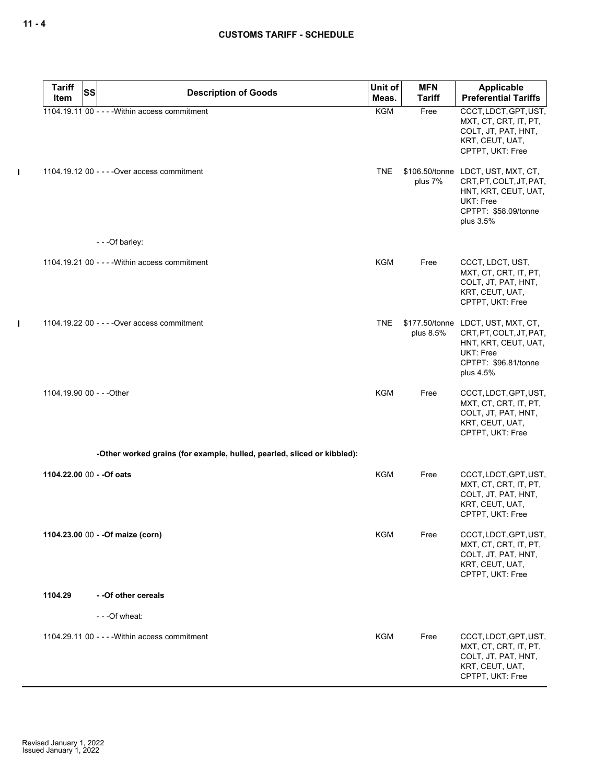|              | <b>Tariff</b>             | SS | <b>Description of Goods</b>                                             | Unit of    | <b>MFN</b>    | <b>Applicable</b>                                                                                                                              |
|--------------|---------------------------|----|-------------------------------------------------------------------------|------------|---------------|------------------------------------------------------------------------------------------------------------------------------------------------|
|              | Item                      |    |                                                                         | Meas.      | <b>Tariff</b> | <b>Preferential Tariffs</b>                                                                                                                    |
|              |                           |    | 1104.19.11 00 - - - - Within access commitment                          | <b>KGM</b> | Free          | CCCT, LDCT, GPT, UST,<br>MXT, CT, CRT, IT, PT,<br>COLT, JT, PAT, HNT,<br>KRT, CEUT, UAT,<br>CPTPT, UKT: Free                                   |
| $\mathbf{I}$ |                           |    | 1104.19.12 00 - - - - Over access commitment                            | <b>TNE</b> | plus 7%       | \$106.50/tonne LDCT, UST, MXT, CT,<br>CRT, PT, COLT, JT, PAT,<br>HNT, KRT, CEUT, UAT,<br>UKT: Free<br>CPTPT: \$58.09/tonne<br>plus 3.5%        |
|              |                           |    | - - - Of barley:                                                        |            |               |                                                                                                                                                |
|              |                           |    | 1104.19.21 00 - - - - Within access commitment                          | <b>KGM</b> | Free          | CCCT, LDCT, UST,<br>MXT, CT, CRT, IT, PT,<br>COLT, JT, PAT, HNT,<br>KRT, CEUT, UAT,<br>CPTPT, UKT: Free                                        |
| $\mathbf{I}$ |                           |    | 1104.19.22 00 - - - - Over access commitment                            | <b>TNE</b> | plus 8.5%     | \$177.50/tonne LDCT, UST, MXT, CT,<br>CRT, PT, COLT, JT, PAT,<br>HNT, KRT, CEUT, UAT,<br><b>UKT: Free</b><br>CPTPT: \$96.81/tonne<br>plus 4.5% |
|              | 1104.19.90 00 - - - Other |    |                                                                         | <b>KGM</b> | Free          | CCCT, LDCT, GPT, UST,<br>MXT, CT, CRT, IT, PT,<br>COLT, JT, PAT, HNT,<br>KRT, CEUT, UAT,<br>CPTPT, UKT: Free                                   |
|              |                           |    | -Other worked grains (for example, hulled, pearled, sliced or kibbled): |            |               |                                                                                                                                                |
|              | 1104.22.00 00 - - Of oats |    |                                                                         | <b>KGM</b> | Free          | CCCT, LDCT, GPT, UST,<br>MXT, CT, CRT, IT, PT,<br>COLT, JT, PAT, HNT,<br>KRT, CEUT, UAT,<br>CPTPT, UKT: Free                                   |
|              |                           |    | 1104.23.00 00 - - Of maize (corn)                                       | <b>KGM</b> | Free          | CCCT, LDCT, GPT, UST,<br>MXT, CT, CRT, IT, PT,<br>COLT, JT, PAT, HNT,<br>KRT, CEUT, UAT,<br>CPTPT, UKT: Free                                   |
|              | 1104.29                   |    | - - Of other cereals                                                    |            |               |                                                                                                                                                |
|              |                           |    | - - - Of wheat:                                                         |            |               |                                                                                                                                                |
|              |                           |    | 1104.29.11 00 - - - - Within access commitment                          | <b>KGM</b> | Free          | CCCT, LDCT, GPT, UST,<br>MXT, CT, CRT, IT, PT,<br>COLT, JT, PAT, HNT,<br>KRT, CEUT, UAT,<br>CPTPT, UKT: Free                                   |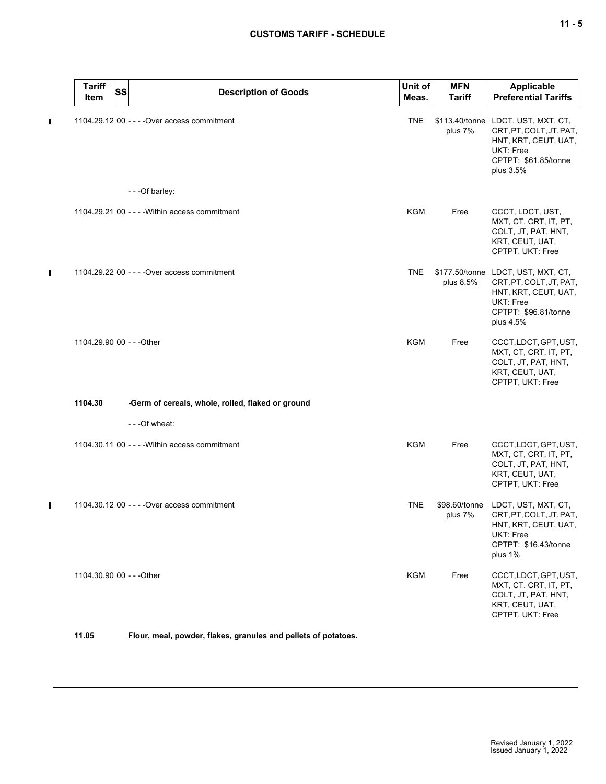# **CUSTOMS TARIFF - SCHEDULE**

|   | <b>Tariff</b><br>Item     | <b>SS</b> | <b>Description of Goods</b>                       | Unit of<br>Meas. | <b>MFN</b><br><b>Tariff</b> | Applicable<br><b>Preferential Tariffs</b>                                                                                               |
|---|---------------------------|-----------|---------------------------------------------------|------------------|-----------------------------|-----------------------------------------------------------------------------------------------------------------------------------------|
| П |                           |           | 1104.29.12 00 - - - - Over access commitment      | <b>TNE</b>       | plus 7%                     | \$113.40/tonne LDCT, UST, MXT, CT,<br>CRT, PT, COLT, JT, PAT,<br>HNT, KRT, CEUT, UAT,<br>UKT: Free<br>CPTPT: \$61.85/tonne<br>plus 3.5% |
|   |                           |           | - - - Of barley:                                  |                  |                             |                                                                                                                                         |
|   |                           |           | 1104.29.21 00 - - - - Within access commitment    | <b>KGM</b>       | Free                        | CCCT, LDCT, UST,<br>MXT, CT, CRT, IT, PT,<br>COLT, JT, PAT, HNT,<br>KRT, CEUT, UAT,<br>CPTPT, UKT: Free                                 |
| П |                           |           | 1104.29.22 00 - - - - Over access commitment      | <b>TNE</b>       | plus 8.5%                   | \$177.50/tonne LDCT, UST, MXT, CT,<br>CRT, PT, COLT, JT, PAT,<br>HNT, KRT, CEUT, UAT,<br>UKT: Free<br>CPTPT: \$96.81/tonne<br>plus 4.5% |
|   | 1104.29.90 00 - - - Other |           |                                                   | <b>KGM</b>       | Free                        | CCCT, LDCT, GPT, UST,<br>MXT, CT, CRT, IT, PT,<br>COLT, JT, PAT, HNT,<br>KRT, CEUT, UAT,<br>CPTPT, UKT: Free                            |
|   | 1104.30                   |           | -Germ of cereals, whole, rolled, flaked or ground |                  |                             |                                                                                                                                         |
|   |                           |           | - - - Of wheat:                                   |                  |                             |                                                                                                                                         |
|   |                           |           | 1104.30.11 00 - - - - Within access commitment    | <b>KGM</b>       | Free                        | CCCT, LDCT, GPT, UST,<br>MXT, CT, CRT, IT, PT,<br>COLT, JT, PAT, HNT,<br>KRT, CEUT, UAT,<br>CPTPT, UKT: Free                            |
| П |                           |           | 1104.30.12 00 - - - - Over access commitment      | <b>TNE</b>       | \$98.60/tonne<br>plus 7%    | LDCT, UST, MXT, CT,<br>CRT, PT, COLT, JT, PAT,<br>HNT, KRT, CEUT, UAT,<br>UKT: Free<br>CPTPT: \$16.43/tonne<br>plus 1%                  |
|   | 1104.30.90 00 - - - Other |           |                                                   | <b>KGM</b>       | Free                        | CCCT, LDCT, GPT, UST,<br>MXT, CT, CRT, IT, PT,<br>COLT, JT, PAT, HNT,<br>KRT, CEUT, UAT,<br>CPTPT, UKT: Free                            |

**11.05 Flour, meal, powder, flakes, granules and pellets of potatoes.**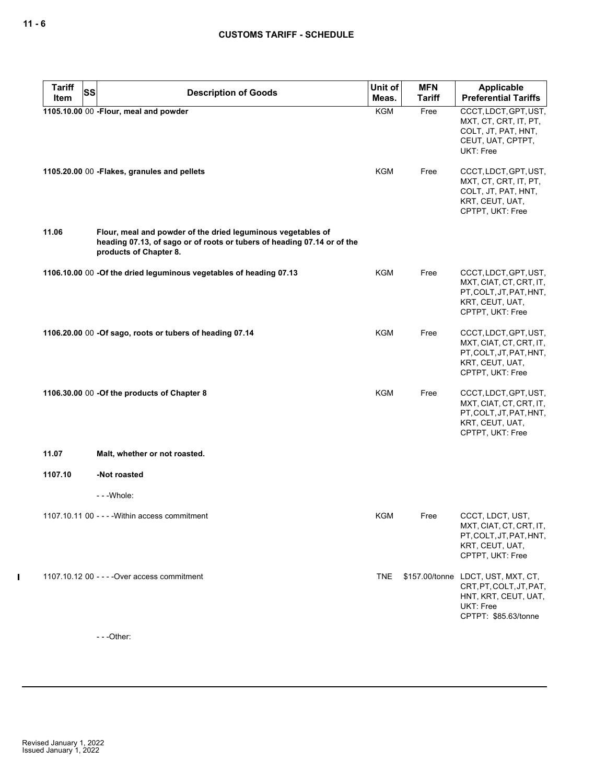| <b>Tariff</b><br>SS | <b>Description of Goods</b>                                                                                                                                       | Unit of    | <b>MFN</b>    | Applicable                                                                                                                 |
|---------------------|-------------------------------------------------------------------------------------------------------------------------------------------------------------------|------------|---------------|----------------------------------------------------------------------------------------------------------------------------|
| Item                |                                                                                                                                                                   | Meas.      | <b>Tariff</b> | <b>Preferential Tariffs</b>                                                                                                |
|                     | 1105.10.00 00 - Flour, meal and powder                                                                                                                            | KGM        | Free          | CCCT, LDCT, GPT, UST,<br>MXT, CT, CRT, IT, PT,<br>COLT, JT, PAT, HNT,<br>CEUT, UAT, CPTPT,<br>UKT: Free                    |
|                     | 1105.20.00 00 - Flakes, granules and pellets                                                                                                                      | KGM        | Free          | CCCT, LDCT, GPT, UST,<br>MXT, CT, CRT, IT, PT,<br>COLT, JT, PAT, HNT,<br>KRT, CEUT, UAT,<br>CPTPT, UKT: Free               |
| 11.06               | Flour, meal and powder of the dried leguminous vegetables of<br>heading 07.13, of sago or of roots or tubers of heading 07.14 or of the<br>products of Chapter 8. |            |               |                                                                                                                            |
|                     | 1106.10.00 00 -Of the dried leguminous vegetables of heading 07.13                                                                                                | KGM        | Free          | CCCT, LDCT, GPT, UST,<br>MXT, CIAT, CT, CRT, IT,<br>PT, COLT, JT, PAT, HNT,<br>KRT, CEUT, UAT,<br>CPTPT, UKT: Free         |
|                     | 1106.20.00 00 -Of sago, roots or tubers of heading 07.14                                                                                                          | <b>KGM</b> | Free          | CCCT, LDCT, GPT, UST,<br>MXT, CIAT, CT, CRT, IT,<br>PT, COLT, JT, PAT, HNT,<br>KRT, CEUT, UAT,<br>CPTPT, UKT: Free         |
|                     | 1106.30.00 00 -Of the products of Chapter 8                                                                                                                       | <b>KGM</b> | Free          | CCCT, LDCT, GPT, UST,<br>MXT, CIAT, CT, CRT, IT,<br>PT, COLT, JT, PAT, HNT,<br>KRT, CEUT, UAT,<br>CPTPT, UKT: Free         |
| 11.07               | Malt, whether or not roasted.                                                                                                                                     |            |               |                                                                                                                            |
| 1107.10             | -Not roasted                                                                                                                                                      |            |               |                                                                                                                            |
|                     | --- Whole:                                                                                                                                                        |            |               |                                                                                                                            |
|                     | 1107.10.11 00 - - - - Within access commitment                                                                                                                    | KGM        | Free          | CCCT, LDCT, UST,<br>MXT, CIAT, CT, CRT, IT,<br>PT, COLT, JT, PAT, HNT,<br>KRT, CEUT, UAT,<br>CPTPT, UKT: Free              |
|                     | 1107.10.12 00 - - - - Over access commitment                                                                                                                      | <b>TNE</b> |               | \$157.00/tonne LDCT, UST, MXT, CT,<br>CRT, PT, COLT, JT, PAT,<br>HNT, KRT, CEUT, UAT,<br>UKT: Free<br>CPTPT: \$85.63/tonne |

- - -Other: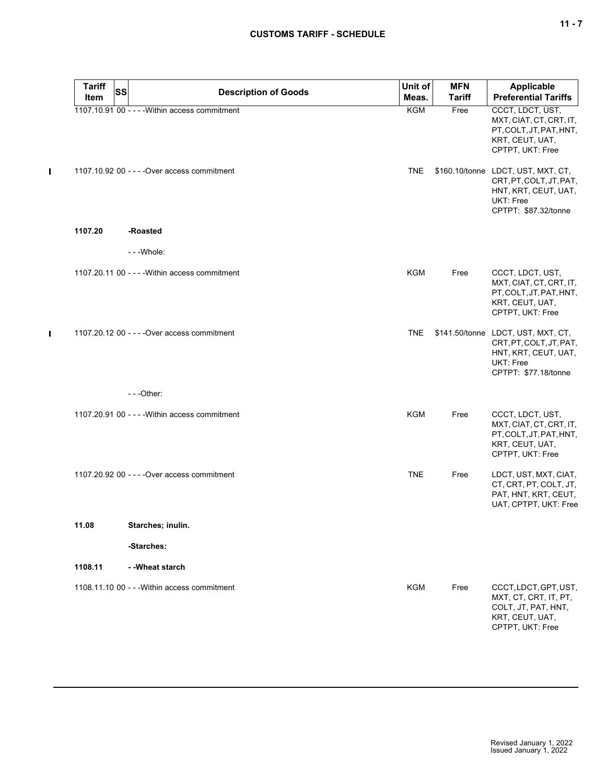| <b>Tariff</b> | SS<br><b>Description of Goods</b>              | Unit of<br>Meas. | <b>MFN</b><br><b>Tariff</b> | Applicable<br><b>Preferential Tariffs</b>                                                                                  |
|---------------|------------------------------------------------|------------------|-----------------------------|----------------------------------------------------------------------------------------------------------------------------|
| Item          | 1107.10.91 00 - - - - Within access commitment | <b>KGM</b>       | Free                        | CCCT, LDCT, UST,                                                                                                           |
|               |                                                |                  |                             | MXT, CIAT, CT, CRT, IT,<br>PT, COLT, JT, PAT, HNT,<br>KRT, CEUT, UAT,<br>CPTPT, UKT: Free                                  |
|               | 1107.10.92 00 - - - - Over access commitment   | <b>TNE</b>       |                             | \$160.10/tonne LDCT, UST, MXT, CT,<br>CRT, PT, COLT, JT, PAT,<br>HNT, KRT, CEUT, UAT,<br>UKT: Free<br>CPTPT: \$87.32/tonne |
| 1107.20       | -Roasted                                       |                  |                             |                                                                                                                            |
|               | - - - Whole:                                   |                  |                             |                                                                                                                            |
|               | 1107.20.11 00 - - - - Within access commitment | <b>KGM</b>       | Free                        | CCCT, LDCT, UST,<br>MXT, CIAT, CT, CRT, IT,<br>PT, COLT, JT, PAT, HNT,<br>KRT, CEUT, UAT,<br>CPTPT, UKT: Free              |
|               | 1107.20.12 00 - - - - Over access commitment   | TNE              |                             | \$141.50/tonne LDCT, UST, MXT, CT,<br>CRT, PT, COLT, JT, PAT,<br>HNT, KRT, CEUT, UAT,<br>UKT: Free<br>CPTPT: \$77.18/tonne |
|               | $- -$ Other:                                   |                  |                             |                                                                                                                            |
|               | 1107.20.91 00 - - - - Within access commitment | <b>KGM</b>       | Free                        | CCCT, LDCT, UST,<br>MXT, CIAT, CT, CRT, IT,<br>PT, COLT, JT, PAT, HNT,<br>KRT, CEUT, UAT,<br>CPTPT, UKT: Free              |
|               | 1107.20.92 00 - - - - Over access commitment   | <b>TNE</b>       | Free                        | LDCT, UST, MXT, CIAT,<br>CT, CRT, PT, COLT, JT,<br>PAT, HNT, KRT, CEUT,<br>UAT, CPTPT, UKT: Free                           |
| 11.08         | Starches; inulin.                              |                  |                             |                                                                                                                            |
|               | -Starches:                                     |                  |                             |                                                                                                                            |
| 1108.11       | - - Wheat starch                               |                  |                             |                                                                                                                            |
|               | 1108.11.10 00 - - - Within access commitment   | <b>KGM</b>       | Free                        | CCCT, LDCT, GPT, UST,<br>MXT, CT, CRT, IT, PT,<br>COLT, JT, PAT, HNT,<br>KRT, CEUT, UAT,<br>CPTPT, UKT: Free               |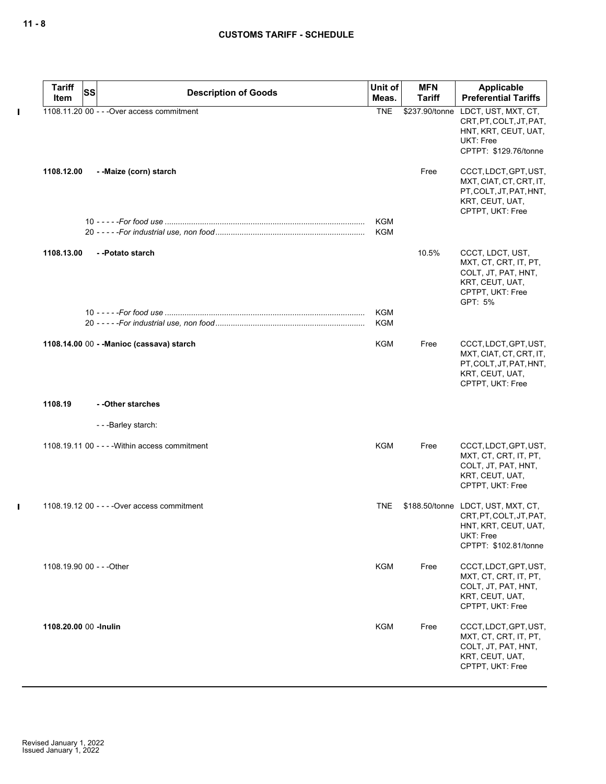| <b>Tariff</b>             | SS | <b>Description of Goods</b>                    | Unit of           | <b>MFN</b> | Applicable                                                                                                                  |
|---------------------------|----|------------------------------------------------|-------------------|------------|-----------------------------------------------------------------------------------------------------------------------------|
| Item                      |    |                                                | Meas.             | Tariff     | <b>Preferential Tariffs</b>                                                                                                 |
|                           |    | 1108.11.20 00 - - - Over access commitment     | <b>TNE</b>        |            | \$237.90/tonne LDCT, UST, MXT, CT,<br>CRT, PT, COLT, JT, PAT,<br>HNT, KRT, CEUT, UAT,<br>UKT: Free<br>CPTPT: \$129.76/tonne |
| 1108.12.00                |    | --Maize (corn) starch                          |                   | Free       | CCCT, LDCT, GPT, UST,<br>MXT, CIAT, CT, CRT, IT,<br>PT.COLT.JT.PAT.HNT.<br>KRT, CEUT, UAT,<br>CPTPT, UKT: Free              |
|                           |    |                                                | KGM<br><b>KGM</b> |            |                                                                                                                             |
| 1108.13.00                |    | --Potato starch                                |                   | 10.5%      | CCCT, LDCT, UST,<br>MXT, CT, CRT, IT, PT,<br>COLT, JT, PAT, HNT,<br>KRT, CEUT, UAT,<br>CPTPT, UKT: Free<br>GPT: 5%          |
|                           |    |                                                | KGM<br><b>KGM</b> |            |                                                                                                                             |
|                           |    | 1108.14.00 00 - - Manioc (cassava) starch      | KGM               | Free       | CCCT, LDCT, GPT, UST,<br>MXT, CIAT, CT, CRT, IT,<br>PT, COLT, JT, PAT, HNT,<br>KRT, CEUT, UAT,<br>CPTPT, UKT: Free          |
| 1108.19                   |    | --Other starches                               |                   |            |                                                                                                                             |
|                           |    | ---Barley starch:                              |                   |            |                                                                                                                             |
|                           |    | 1108.19.11 00 - - - - Within access commitment | <b>KGM</b>        | Free       | CCCT, LDCT, GPT, UST,<br>MXT, CT, CRT, IT, PT,<br>COLT, JT, PAT, HNT,<br>KRT, CEUT, UAT,<br>CPTPT, UKT: Free                |
|                           |    | 1108.19.12 00 - - - - Over access commitment   | <b>TNE</b>        |            | \$188.50/tonne LDCT, UST, MXT, CT,<br>CRT, PT, COLT, JT, PAT,<br>HNT, KRT, CEUT, UAT,<br>UKT: Free<br>CPTPT: \$102.81/tonne |
| 1108.19.90 00 - - - Other |    |                                                | <b>KGM</b>        | Free       | CCCT, LDCT, GPT, UST,<br>MXT, CT, CRT, IT, PT,<br>COLT, JT, PAT, HNT,<br>KRT, CEUT, UAT,<br>CPTPT, UKT: Free                |
| 1108.20.00 00 -Inulin     |    |                                                | <b>KGM</b>        | Free       | CCCT, LDCT, GPT, UST,<br>MXT, CT, CRT, IT, PT,<br>COLT, JT, PAT, HNT,<br>KRT, CEUT, UAT,<br>CPTPT, UKT: Free                |